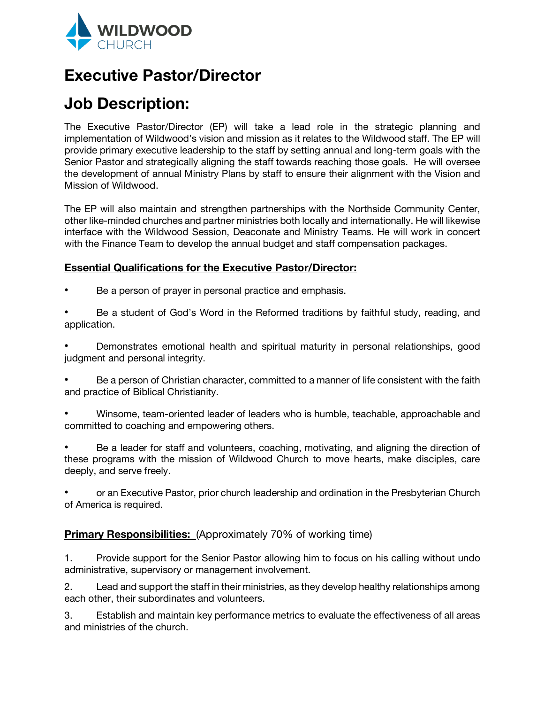

## **Executive Pastor/Director**

# **Job Description:**

The Executive Pastor/Director (EP) will take a lead role in the strategic planning and implementation of Wildwood's vision and mission as it relates to the Wildwood staff. The EP will provide primary executive leadership to the staff by setting annual and long-term goals with the Senior Pastor and strategically aligning the staff towards reaching those goals. He will oversee the development of annual Ministry Plans by staff to ensure their alignment with the Vision and Mission of Wildwood.

The EP will also maintain and strengthen partnerships with the Northside Community Center, other like-minded churches and partner ministries both locally and internationally. He will likewise interface with the Wildwood Session, Deaconate and Ministry Teams. He will work in concert with the Finance Team to develop the annual budget and staff compensation packages.

## **Essential Qualifications for the Executive Pastor/Director:**

- Be a person of prayer in personal practice and emphasis.
- Be a student of God's Word in the Reformed traditions by faithful study, reading, and application.

Demonstrates emotional health and spiritual maturity in personal relationships, good judgment and personal integrity.

- ! Be a person of Christian character, committed to a manner of life consistent with the faith and practice of Biblical Christianity.
- Winsome, team-oriented leader of leaders who is humble, teachable, approachable and committed to coaching and empowering others.
- ! Be a leader for staff and volunteers, coaching, motivating, and aligning the direction of these programs with the mission of Wildwood Church to move hearts, make disciples, care deeply, and serve freely.
- ! or an Executive Pastor, prior church leadership and ordination in the Presbyterian Church of America is required.

## **Primary Responsibilities:** (Approximately 70% of working time)

1. Provide support for the Senior Pastor allowing him to focus on his calling without undo administrative, supervisory or management involvement.

2. Lead and support the staff in their ministries, as they develop healthy relationships among each other, their subordinates and volunteers.

3. Establish and maintain key performance metrics to evaluate the effectiveness of all areas and ministries of the church.